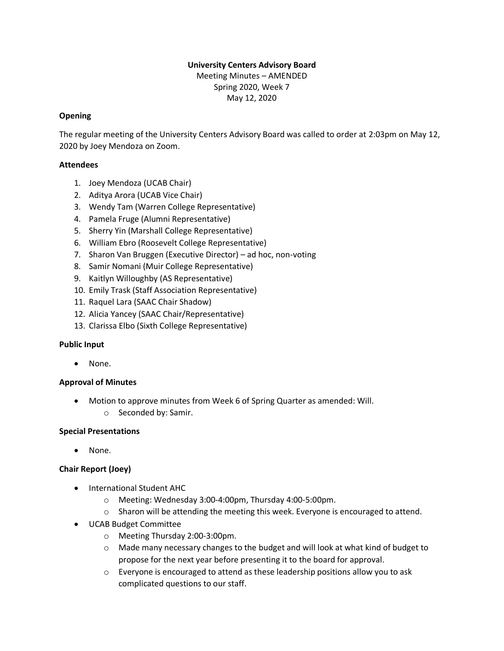### **University Centers Advisory Board**

Meeting Minutes – AMENDED Spring 2020, Week 7 May 12, 2020

### **Opening**

The regular meeting of the University Centers Advisory Board was called to order at 2:03pm on May 12, 2020 by Joey Mendoza on Zoom.

### **Attendees**

- 1. Joey Mendoza (UCAB Chair)
- 2. Aditya Arora (UCAB Vice Chair)
- 3. Wendy Tam (Warren College Representative)
- 4. Pamela Fruge (Alumni Representative)
- 5. Sherry Yin (Marshall College Representative)
- 6. William Ebro (Roosevelt College Representative)
- 7. Sharon Van Bruggen (Executive Director) ad hoc, non-voting
- 8. Samir Nomani (Muir College Representative)
- 9. Kaitlyn Willoughby (AS Representative)
- 10. Emily Trask (Staff Association Representative)
- 11. Raquel Lara (SAAC Chair Shadow)
- 12. Alicia Yancey (SAAC Chair/Representative)
- 13. Clarissa Elbo (Sixth College Representative)

#### **Public Input**

• None.

# **Approval of Minutes**

- Motion to approve minutes from Week 6 of Spring Quarter as amended: Will.
	- o Seconded by: Samir.

#### **Special Presentations**

• None.

# **Chair Report (Joey)**

- International Student AHC
	- o Meeting: Wednesday 3:00-4:00pm, Thursday 4:00-5:00pm.
	- $\circ$  Sharon will be attending the meeting this week. Everyone is encouraged to attend.
- UCAB Budget Committee
	- o Meeting Thursday 2:00-3:00pm.
	- $\circ$  Made many necessary changes to the budget and will look at what kind of budget to propose for the next year before presenting it to the board for approval.
	- $\circ$  Everyone is encouraged to attend as these leadership positions allow you to ask complicated questions to our staff.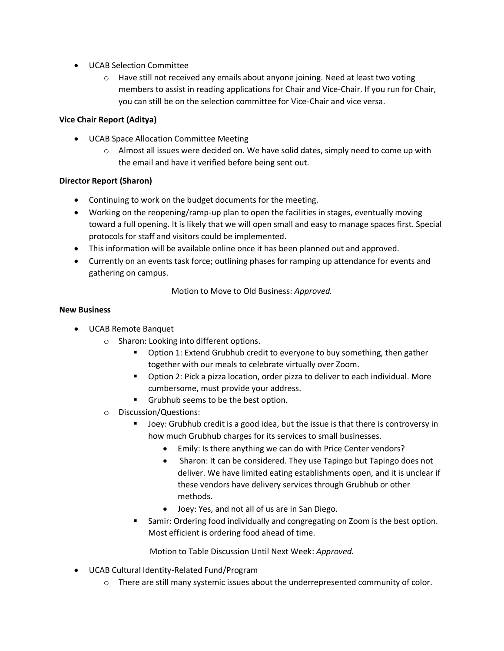- UCAB Selection Committee
	- $\circ$  Have still not received any emails about anyone joining. Need at least two voting members to assist in reading applications for Chair and Vice-Chair. If you run for Chair, you can still be on the selection committee for Vice-Chair and vice versa.

# **Vice Chair Report (Aditya)**

- UCAB Space Allocation Committee Meeting
	- $\circ$  Almost all issues were decided on. We have solid dates, simply need to come up with the email and have it verified before being sent out.

# **Director Report (Sharon)**

- Continuing to work on the budget documents for the meeting.
- Working on the reopening/ramp-up plan to open the facilities in stages, eventually moving toward a full opening. It is likely that we will open small and easy to manage spaces first. Special protocols for staff and visitors could be implemented.
- This information will be available online once it has been planned out and approved.
- Currently on an events task force; outlining phases for ramping up attendance for events and gathering on campus.

Motion to Move to Old Business: *Approved.*

### **New Business**

- UCAB Remote Banquet
	- o Sharon: Looking into different options.
		- Option 1: Extend Grubhub credit to everyone to buy something, then gather together with our meals to celebrate virtually over Zoom.
		- Option 2: Pick a pizza location, order pizza to deliver to each individual. More cumbersome, must provide your address.
		- Grubhub seems to be the best option.
	- o Discussion/Questions:
		- Joey: Grubhub credit is a good idea, but the issue is that there is controversy in how much Grubhub charges for its services to small businesses.
			- Emily: Is there anything we can do with Price Center vendors?
			- Sharon: It can be considered. They use Tapingo but Tapingo does not deliver. We have limited eating establishments open, and it is unclear if these vendors have delivery services through Grubhub or other methods.
			- Joey: Yes, and not all of us are in San Diego.
		- **E** Samir: Ordering food individually and congregating on Zoom is the best option. Most efficient is ordering food ahead of time.

Motion to Table Discussion Until Next Week: *Approved.* 

- UCAB Cultural Identity-Related Fund/Program
	- o There are still many systemic issues about the underrepresented community of color.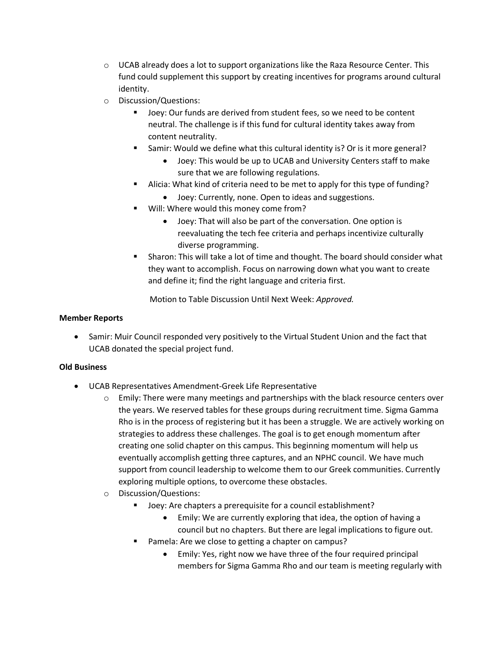- $\circ$  UCAB already does a lot to support organizations like the Raza Resource Center. This fund could supplement this support by creating incentives for programs around cultural identity.
- o Discussion/Questions:
	- Joey: Our funds are derived from student fees, so we need to be content neutral. The challenge is if this fund for cultural identity takes away from content neutrality.
	- Samir: Would we define what this cultural identity is? Or is it more general?
		- Joey: This would be up to UCAB and University Centers staff to make sure that we are following regulations.
	- Alicia: What kind of criteria need to be met to apply for this type of funding?
		- Joey: Currently, none. Open to ideas and suggestions.
	- Will: Where would this money come from?
		- Joey: That will also be part of the conversation. One option is reevaluating the tech fee criteria and perhaps incentivize culturally diverse programming.
	- **EXEDENT** Sharon: This will take a lot of time and thought. The board should consider what they want to accomplish. Focus on narrowing down what you want to create and define it; find the right language and criteria first.

Motion to Table Discussion Until Next Week: *Approved.*

#### **Member Reports**

• Samir: Muir Council responded very positively to the Virtual Student Union and the fact that UCAB donated the special project fund.

#### **Old Business**

- UCAB Representatives Amendment-Greek Life Representative
	- $\circ$  Emily: There were many meetings and partnerships with the black resource centers over the years. We reserved tables for these groups during recruitment time. Sigma Gamma Rho is in the process of registering but it has been a struggle. We are actively working on strategies to address these challenges. The goal is to get enough momentum after creating one solid chapter on this campus. This beginning momentum will help us eventually accomplish getting three captures, and an NPHC council. We have much support from council leadership to welcome them to our Greek communities. Currently exploring multiple options, to overcome these obstacles.
	- o Discussion/Questions:
		- Joey: Are chapters a prerequisite for a council establishment?
			- Emily: We are currently exploring that idea, the option of having a council but no chapters. But there are legal implications to figure out.
		- Pamela: Are we close to getting a chapter on campus?
			- Emily: Yes, right now we have three of the four required principal members for Sigma Gamma Rho and our team is meeting regularly with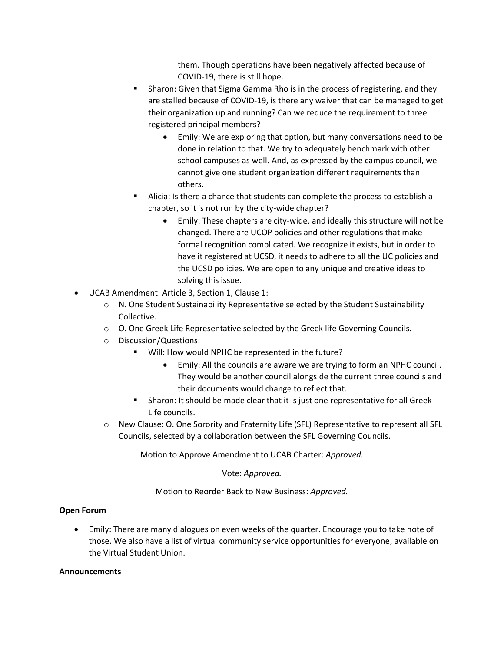them. Though operations have been negatively affected because of COVID-19, there is still hope.

- Sharon: Given that Sigma Gamma Rho is in the process of registering, and they are stalled because of COVID-19, is there any waiver that can be managed to get their organization up and running? Can we reduce the requirement to three registered principal members?
	- Emily: We are exploring that option, but many conversations need to be done in relation to that. We try to adequately benchmark with other school campuses as well. And, as expressed by the campus council, we cannot give one student organization different requirements than others.
- Alicia: Is there a chance that students can complete the process to establish a chapter, so it is not run by the city-wide chapter?
	- Emily: These chapters are city-wide, and ideally this structure will not be changed. There are UCOP policies and other regulations that make formal recognition complicated. We recognize it exists, but in order to have it registered at UCSD, it needs to adhere to all the UC policies and the UCSD policies. We are open to any unique and creative ideas to solving this issue.
- UCAB Amendment: Article 3, Section 1, Clause 1:
	- $\circ$  N. One Student Sustainability Representative selected by the Student Sustainability Collective.
	- $\circ$  O. One Greek Life Representative selected by the Greek life Governing Councils.
	- o Discussion/Questions:
		- Will: How would NPHC be represented in the future?
			- Emily: All the councils are aware we are trying to form an NPHC council. They would be another council alongside the current three councils and their documents would change to reflect that.
		- Sharon: It should be made clear that it is just one representative for all Greek Life councils.
	- o New Clause: O. One Sorority and Fraternity Life (SFL) Representative to represent all SFL Councils, selected by a collaboration between the SFL Governing Councils.

Motion to Approve Amendment to UCAB Charter: *Approved.* 

Vote: *Approved.*

Motion to Reorder Back to New Business: *Approved.*

#### **Open Forum**

• Emily: There are many dialogues on even weeks of the quarter. Encourage you to take note of those. We also have a list of virtual community service opportunities for everyone, available on the Virtual Student Union.

#### **Announcements**